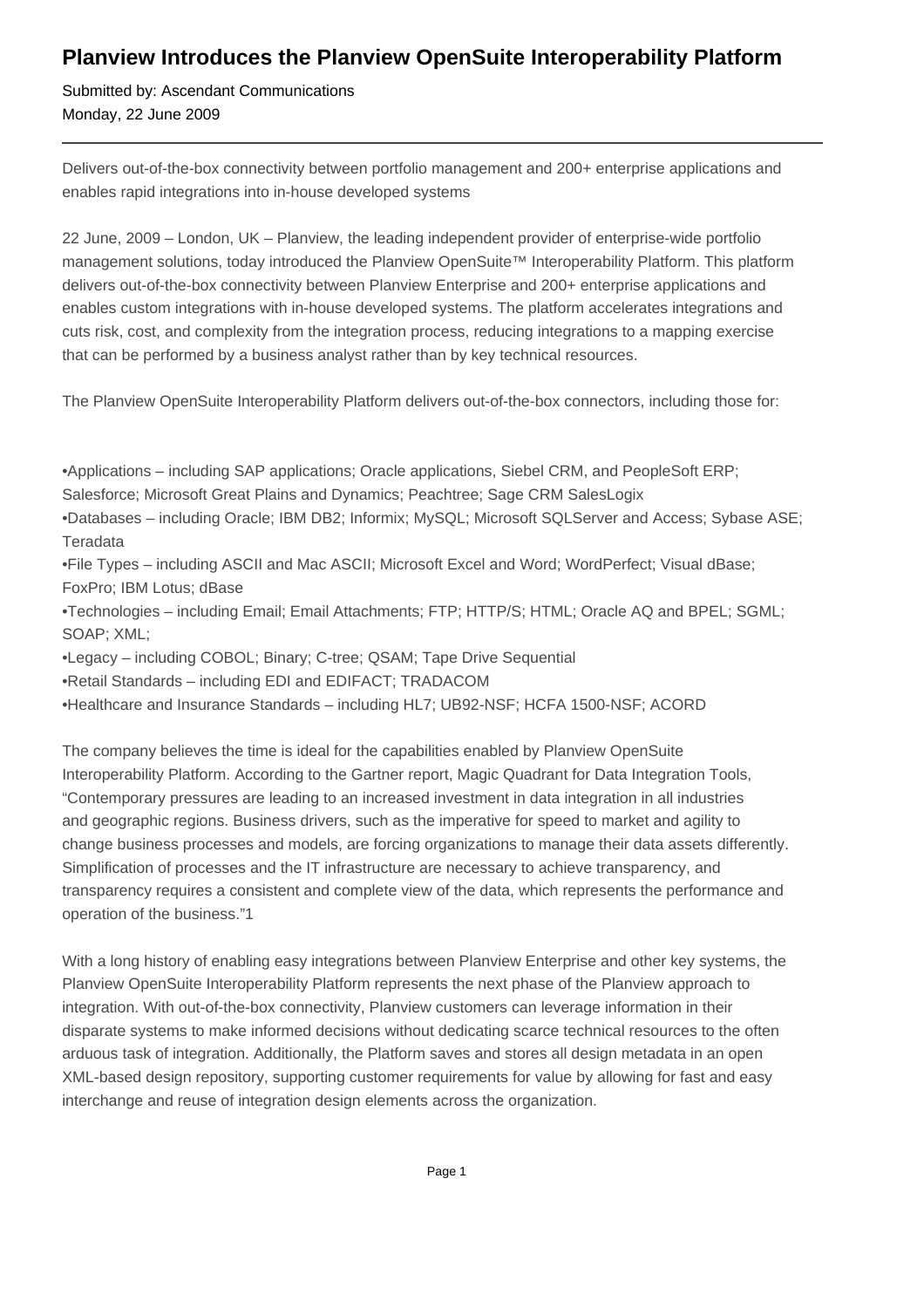## **Planview Introduces the Planview OpenSuite Interoperability Platform**

Submitted by: Ascendant Communications Monday, 22 June 2009

Delivers out-of-the-box connectivity between portfolio management and 200+ enterprise applications and enables rapid integrations into in-house developed systems

22 June, 2009 – London, UK – Planview, the leading independent provider of enterprise-wide portfolio management solutions, today introduced the Planview OpenSuite™ Interoperability Platform. This platform delivers out-of-the-box connectivity between Planview Enterprise and 200+ enterprise applications and enables custom integrations with in-house developed systems. The platform accelerates integrations and cuts risk, cost, and complexity from the integration process, reducing integrations to a mapping exercise that can be performed by a business analyst rather than by key technical resources.

The Planview OpenSuite Interoperability Platform delivers out-of-the-box connectors, including those for:

• Applications – including SAP applications; Oracle applications, Siebel CRM, and PeopleSoft ERP; Salesforce; Microsoft Great Plains and Dynamics; Peachtree; Sage CRM SalesLogix

• Databases – including Oracle; IBM DB2; Informix; MySQL; Microsoft SQLServer and Access; Sybase ASE; **Teradata** 

• File Types – including ASCII and Mac ASCII; Microsoft Excel and Word; WordPerfect; Visual dBase; FoxPro; IBM Lotus; dBase

• Technologies – including Email; Email Attachments; FTP; HTTP/S; HTML; Oracle AQ and BPEL; SGML; SOAP; XML;

- • Legacy including COBOL; Binary; C-tree; QSAM; Tape Drive Sequential
- Retail Standards including EDI and EDIFACT; TRADACOM
- • Healthcare and Insurance Standards including HL7; UB92-NSF; HCFA 1500-NSF; ACORD

The company believes the time is ideal for the capabilities enabled by Planview OpenSuite Interoperability Platform. According to the Gartner report, Magic Quadrant for Data Integration Tools, "Contemporary pressures are leading to an increased investment in data integration in all industries and geographic regions. Business drivers, such as the imperative for speed to market and agility to change business processes and models, are forcing organizations to manage their data assets differently. Simplification of processes and the IT infrastructure are necessary to achieve transparency, and transparency requires a consistent and complete view of the data, which represents the performance and operation of the business."1

With a long history of enabling easy integrations between Planview Enterprise and other key systems, the Planview OpenSuite Interoperability Platform represents the next phase of the Planview approach to integration. With out-of-the-box connectivity, Planview customers can leverage information in their disparate systems to make informed decisions without dedicating scarce technical resources to the often arduous task of integration. Additionally, the Platform saves and stores all design metadata in an open XML-based design repository, supporting customer requirements for value by allowing for fast and easy interchange and reuse of integration design elements across the organization.